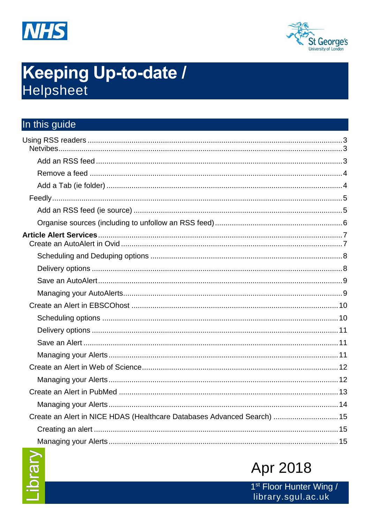



# **Keeping Up-to-date /** Helpsheet

# In this guide

| Create an Alert in NICE HDAS (Healthcare Databases Advanced Search)  15 |  |
|-------------------------------------------------------------------------|--|
|                                                                         |  |
|                                                                         |  |



# **Apr 2018**

1<sup>st</sup> Floor Hunter Wing / library.sgul.ac.uk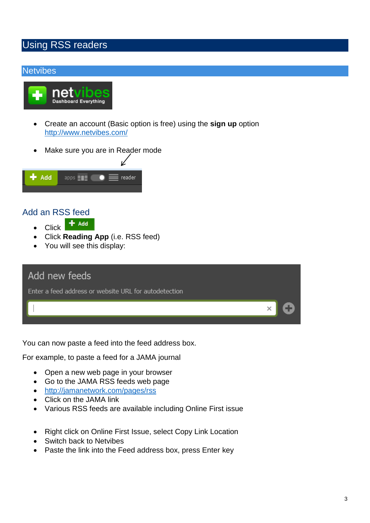# <span id="page-2-0"></span>Using RSS readers

#### <span id="page-2-1"></span>**Netvibes**



- Create an account (Basic option is free) using the **sign up** option <http://www.netvibes.com/>
- Make sure you are in Reader mode



## <span id="page-2-2"></span>Add an RSS feed

- $+$  Add • Click
- Click **Reading App** (i.e. RSS feed)
- You will see this display:

| Add new feeds                                         |   |  |
|-------------------------------------------------------|---|--|
| Enter a feed address or website URL for autodetection |   |  |
|                                                       | × |  |
|                                                       |   |  |

You can now paste a feed into the feed address box.

For example, to paste a feed for a JAMA journal

- Open a new web page in your browser
- Go to the JAMA RSS feeds web page
- <http://jamanetwork.com/pages/rss>
- Click on the JAMA link
- Various RSS feeds are available including Online First issue
- Right click on Online First Issue, select Copy Link Location
- Switch back to Netvibes
- Paste the link into the Feed address box, press Enter key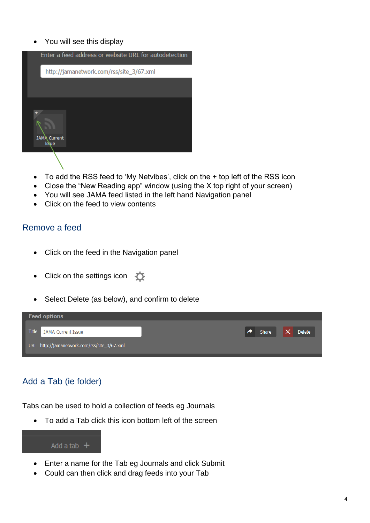• You will see this display

| Enter a feed address or website URL for autodetection |
|-------------------------------------------------------|
| http://jamanetwork.com/rss/site_3/67.xml              |
|                                                       |
| <b>JAMA</b> Current<br>Issue                          |
|                                                       |

- To add the RSS feed to 'My Netvibes', click on the + top left of the RSS icon
- Close the "New Reading app" window (using the X top right of your screen)
- You will see JAMA feed listed in the left hand Navigation panel
- Click on the feed to view contents

## <span id="page-3-0"></span>Remove a feed

- Click on the feed in the Navigation panel
- Click on the settings icon
- Select Delete (as below), and confirm to delete



# <span id="page-3-1"></span>Add a Tab (ie folder)

Tabs can be used to hold a collection of feeds eg Journals

To add a Tab click this icon bottom left of the screen

#### Add a tab  $+$

- Enter a name for the Tab eg Journals and click Submit
- Could can then click and drag feeds into your Tab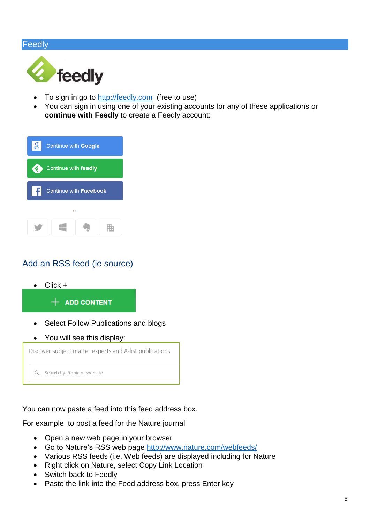#### <span id="page-4-0"></span>Feedly



- To sign in go to [http://feedly.com](http://feedly.com/) (free to use)
- You can sign in using one of your existing accounts for any of these applications or **continue with Feedly** to create a Feedly account:

| $\overline{g}$ | Continue with Google   |  |  |  |  |
|----------------|------------------------|--|--|--|--|
|                | Continue with feedly   |  |  |  |  |
| ١£             | Continue with Facebook |  |  |  |  |
| or             |                        |  |  |  |  |
|                |                        |  |  |  |  |

# <span id="page-4-1"></span>Add an RSS feed (ie source)

 $\bullet$  Click +

#### $+$  ADD CONTENT

- Select Follow Publications and blogs
- You will see this display:



You can now paste a feed into this feed address box.

For example, to post a feed for the Nature journal

- Open a new web page in your browser
- Go to Nature's RSS web page<http://www.nature.com/webfeeds/>
- Various RSS feeds (i.e. Web feeds) are displayed including for Nature
- Right click on Nature, select Copy Link Location
- Switch back to Feedly
- Paste the link into the Feed address box, press Enter key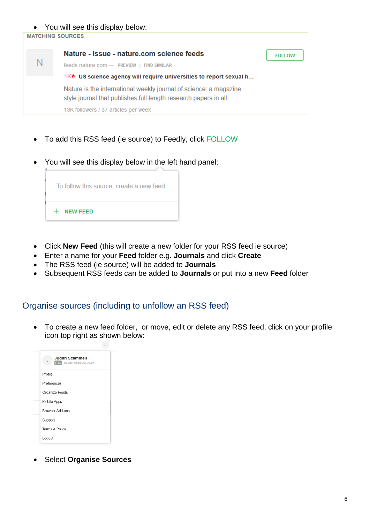#### You will see this display below:



- To add this RSS feed (ie source) to Feedly, click FOLLOW
- You will see this display below in the left hand panel:



- Click **New Feed** (this will create a new folder for your RSS feed ie source)
- Enter a name for your **Feed** folder e.g. **Journals** and click **Create**
- The RSS feed (ie source) will be added to **Journals**
- Subsequent RSS feeds can be added to **Journals** or put into a new **Feed** folder

#### <span id="page-5-0"></span>Organise sources (including to unfollow an RSS feed)

 $\overline{d}$ 

 To create a new feed folder, or move, edit or delete any RSS feed, click on your profile icon top right as shown below:

| <b>Judith Scammell</b><br>J<br>FREE jscammel@sgul.ac.uk |  |
|---------------------------------------------------------|--|
| Profile                                                 |  |
| Preferences                                             |  |
| Organize Feeds                                          |  |
| Mobile Apps                                             |  |
| Browser Add-ons                                         |  |
| Support                                                 |  |
| Terms & Policy                                          |  |
| Logout                                                  |  |

Select **Organise Sources**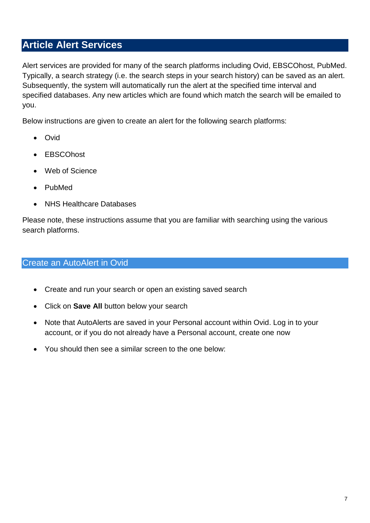# <span id="page-6-0"></span>**Article Alert Services**

Alert services are provided for many of the search platforms including Ovid, EBSCOhost, PubMed. Typically, a search strategy (i.e. the search steps in your search history) can be saved as an alert. Subsequently, the system will automatically run the alert at the specified time interval and specified databases. Any new articles which are found which match the search will be emailed to you.

Below instructions are given to create an alert for the following search platforms:

- Ovid
- EBSCOhost
- Web of Science
- PubMed
- NHS Healthcare Databases

Please note, these instructions assume that you are familiar with searching using the various search platforms.

# <span id="page-6-1"></span>Create an AutoAlert in Ovid

- Create and run your search or open an existing saved search
- Click on **Save All** button below your search
- Note that AutoAlerts are saved in your Personal account within Ovid. Log in to your account, or if you do not already have a Personal account, create one now
- You should then see a similar screen to the one below: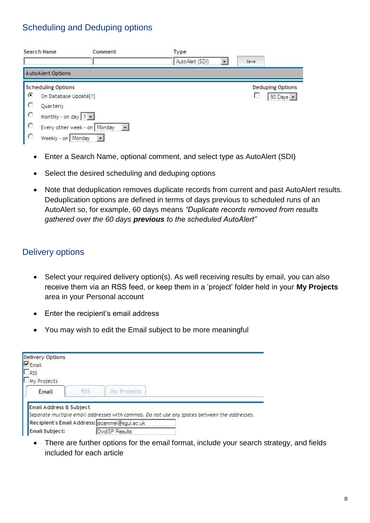# <span id="page-7-0"></span>Scheduling and Deduping options

| Search Name |                           | Comment                        | Type            |                          |      |                         |
|-------------|---------------------------|--------------------------------|-----------------|--------------------------|------|-------------------------|
|             |                           |                                | AutoAlert (SDI) | $\overline{\phantom{a}}$ | Save |                         |
|             | <b>AutoAlert Options</b>  |                                |                 |                          |      |                         |
|             | <b>Scheduling Options</b> |                                |                 |                          |      | <b>Deduping Options</b> |
| €           | On Database Update[?]     |                                |                 |                          |      | 90 Days >               |
| O           | Quarterly                 |                                |                 |                          |      |                         |
| $\circ$     | Monthly - on day   1 -    |                                |                 |                          |      |                         |
| $\circ$     |                           | Every other week - on   Monday |                 |                          |      |                         |
| $\circ$     | Weekly - on   Monday      | $\overline{\phantom{a}}$       |                 |                          |      |                         |

- Enter a Search Name, optional comment, and select type as AutoAlert (SDI)
- Select the desired scheduling and deduping options
- Note that deduplication removes duplicate records from current and past AutoAlert results. Deduplication options are defined in terms of days previous to scheduled runs of an AutoAlert so, for example, 60 days means *"Duplicate records removed from results gathered over the 60 days previous to the scheduled AutoAlert"*

# <span id="page-7-1"></span>Delivery options

- Select your required delivery option(s). As well receiving results by email, you can also receive them via an RSS feed, or keep them in a 'project' folder held in your **My Projects** area in your Personal account
- Enter the recipient's email address
- You may wish to edit the Email subject to be more meaningful

| Delivery Options<br>$\nabla_{\text{Email}}$ |      |                                                |                                                                                             |
|---------------------------------------------|------|------------------------------------------------|---------------------------------------------------------------------------------------------|
| RSS                                         |      |                                                |                                                                                             |
| My Projects                                 |      |                                                |                                                                                             |
| Email                                       | RSS. | My Projects                                    |                                                                                             |
| Email Address & Subject                     |      |                                                |                                                                                             |
|                                             |      |                                                | Separate multiple email addresses with commas. Do not use any spaces between the addresses. |
|                                             |      | Recipient's Email Address: [scammel@sgul.ac.uk |                                                                                             |
|                                             |      |                                                |                                                                                             |

• There are further options for the email format, include your search strategy, and fields included for each article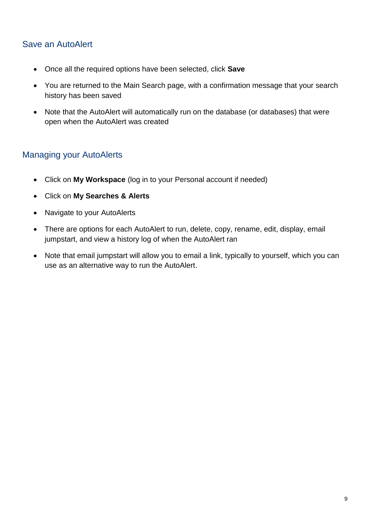# <span id="page-8-0"></span>Save an AutoAlert

- Once all the required options have been selected, click **Save**
- You are returned to the Main Search page, with a confirmation message that your search history has been saved
- Note that the AutoAlert will automatically run on the database (or databases) that were open when the AutoAlert was created

# <span id="page-8-1"></span>Managing your AutoAlerts

- Click on **My Workspace** (log in to your Personal account if needed)
- Click on **My Searches & Alerts**
- Navigate to your AutoAlerts
- There are options for each AutoAlert to run, delete, copy, rename, edit, display, email jumpstart, and view a history log of when the AutoAlert ran
- Note that email jumpstart will allow you to email a link, typically to yourself, which you can use as an alternative way to run the AutoAlert.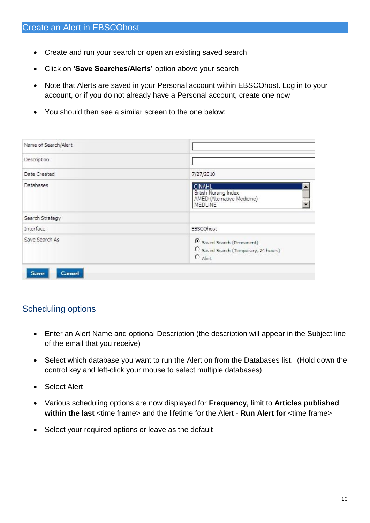- <span id="page-9-0"></span>• Create and run your search or open an existing saved search
- Click on **'Save Searches/Alerts'** option above your search
- Note that Alerts are saved in your Personal account within EBSCOhost. Log in to your account, or if you do not already have a Personal account, create one now
- You should then see a similar screen to the one below:

| Name of Search/Alert |                                                                                         |
|----------------------|-----------------------------------------------------------------------------------------|
| Description          |                                                                                         |
| Date Created         | 7/27/2010                                                                               |
| Databases            | <b>CINAHL</b><br>British Nursing Index<br>AMED (Alternative Medicine)<br><b>MEDLINE</b> |
| Search Strategy      |                                                                                         |
| Interface            | EBSCOhost                                                                               |
| Save Search As       | 6 Saved Search (Permanent)<br>C Saved Search (Temporary, 24 hours)<br>$C$ Alert         |

# <span id="page-9-1"></span>Scheduling options

- Enter an Alert Name and optional Description (the description will appear in the Subject line of the email that you receive)
- Select which database you want to run the Alert on from the Databases list. (Hold down the control key and left-click your mouse to select multiple databases)
- Select Alert
- Various scheduling options are now displayed for **Frequency**, limit to **Articles published within the last** <time frame> and the lifetime for the Alert - **Run Alert for** <time frame>
- Select your required options or leave as the default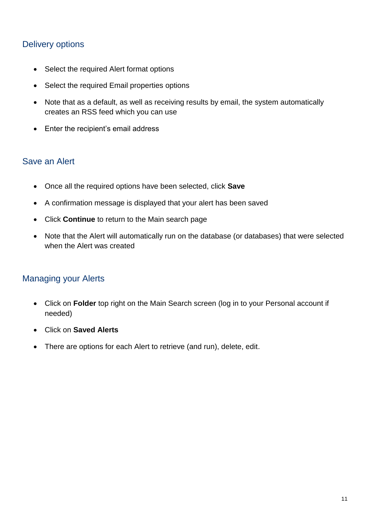# <span id="page-10-0"></span>Delivery options

- Select the required Alert format options
- Select the required Email properties options
- Note that as a default, as well as receiving results by email, the system automatically creates an RSS feed which you can use
- Enter the recipient's email address

#### <span id="page-10-1"></span>Save an Alert

- Once all the required options have been selected, click **Save**
- A confirmation message is displayed that your alert has been saved
- Click **Continue** to return to the Main search page
- Note that the Alert will automatically run on the database (or databases) that were selected when the Alert was created

# <span id="page-10-2"></span>Managing your Alerts

- Click on **Folder** top right on the Main Search screen (log in to your Personal account if needed)
- Click on **Saved Alerts**
- There are options for each Alert to retrieve (and run), delete, edit.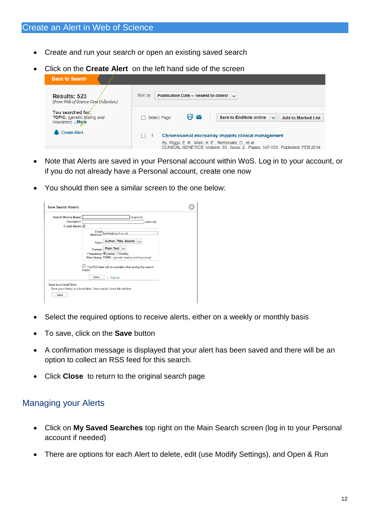- <span id="page-11-0"></span>Create and run your search or open an existing saved search
- Click on the **Create Alert** on the left hand side of the screen



- Note that Alerts are saved in your Personal account within WoS. Log in to your account, or if you do not already have a Personal account, create one now
- You should then see a similar screen to the one below:



- Select the required options to receive alerts, either on a weekly or monthly basis
- To save, click on the **Save** button
- A confirmation message is displayed that your alert has been saved and there will be an option to collect an RSS feed for this search.
- Click **Close** to return to the original search page

# <span id="page-11-1"></span>Managing your Alerts

- Click on **My Saved Searches** top right on the Main Search screen (log in to your Personal account if needed)
- There are options for each Alert to delete, edit (use Modify Settings), and Open & Run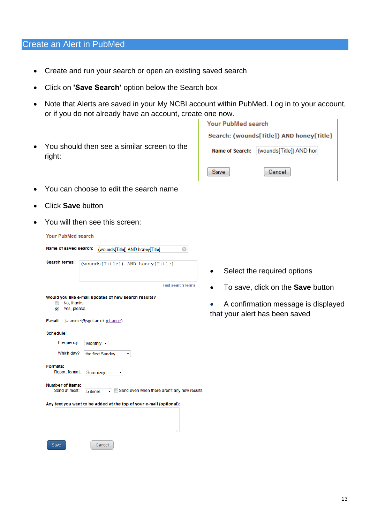#### <span id="page-12-0"></span>Create an Alert in PubMed

- Create and run your search or open an existing saved search
- Click on **'Save Search'** option below the Search box
- Note that Alerts are saved in your My NCBI account within PubMed. Log in to your account, or if you do not already have an account, create one now.
- You should then see a similar screen to the right:

| Your PubMed search                         |        |  |  |  |  |  |
|--------------------------------------------|--------|--|--|--|--|--|
| Search: (wounds[Title]) AND honey[Title]   |        |  |  |  |  |  |
| (wounds[Title]) AND hor<br>Name of Search: |        |  |  |  |  |  |
| Save                                       | Cancel |  |  |  |  |  |

- You can choose to edit the search name
- Click **Save** button
- You will then see this screen:

| <b>Your PubMed search</b>                                                                             |         |                                  |                                             |                          |    |
|-------------------------------------------------------------------------------------------------------|---------|----------------------------------|---------------------------------------------|--------------------------|----|
| Name of saved search:                                                                                 |         | (wounds[Title]) AND honey[Title] |                                             |                          | Ø  |
| <b>Search terms:</b>                                                                                  |         | (wounds[Title]) AND honey[Title] |                                             |                          | ă. |
|                                                                                                       |         |                                  |                                             | <b>Test search terms</b> |    |
| Would you like e-mail updates of new search results?<br>No. thanks.<br>⋒<br>Yes, please.<br>$\bullet$ |         |                                  |                                             |                          |    |
| E-mail:                                                                                               |         | jscammel@sgul.ac.uk (change)     |                                             |                          |    |
| Schedule:                                                                                             |         |                                  |                                             |                          |    |
| Frequency:                                                                                            |         | Monthly $\sim$                   |                                             |                          |    |
| Which day?                                                                                            |         | the first Sunday                 |                                             |                          |    |
| Formats:<br>Report format:                                                                            | Summary | ▼                                |                                             |                          |    |
| <b>Number of items:</b><br>Send at most:                                                              | 5 items |                                  | Send even when there aren't any new results |                          |    |
| Any text you want to be added at the top of your e-mail (optional):                                   |         |                                  |                                             | zî.                      |    |
| Save                                                                                                  |         | Cancel                           |                                             |                          |    |

- Select the required options
- To save, click on the **Save** button
- A confirmation message is displayed that your alert has been saved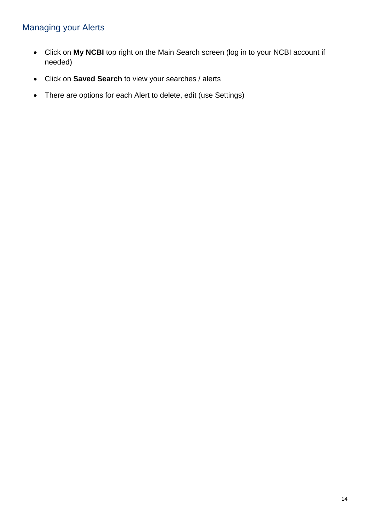# <span id="page-13-0"></span>Managing your Alerts

- Click on **My NCBI** top right on the Main Search screen (log in to your NCBI account if needed)
- Click on **Saved Search** to view your searches / alerts
- There are options for each Alert to delete, edit (use Settings)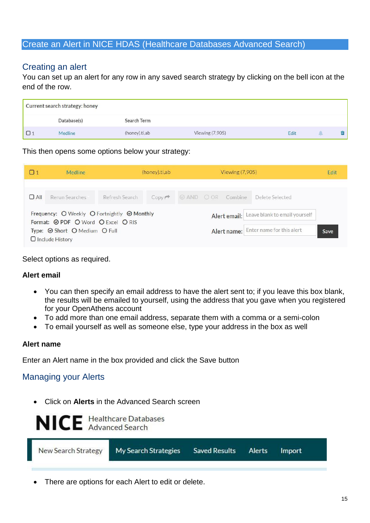#### <span id="page-14-0"></span>Create an Alert in NICE HDAS (Healthcare Databases Advanced Search)

## <span id="page-14-1"></span>Creating an alert

You can set up an alert for any row in any saved search strategy by clicking on the bell icon at the end of the row.

| Current search strategy: honey |               |                 |      |  |
|--------------------------------|---------------|-----------------|------|--|
| Database(s)                    | Search Term   |                 |      |  |
| Medline                        | (honey).ti,ab | Viewing (7,905) | Edit |  |

This then opens some options below your strategy:

| $\Box$ 1                                                                          | <b>Medline</b> | (honey).ti,ab  |                                       | <b>Viewing (7,905)</b> |  |      | Edit                                       |  |
|-----------------------------------------------------------------------------------|----------------|----------------|---------------------------------------|------------------------|--|------|--------------------------------------------|--|
| $\Box$ All                                                                        | Rerun Searches | Refresh Search |                                       |                        |  |      | Copy → © AND O OR Combine Delete Selected  |  |
| Frequency: O Weekly O Fortnightly @ Monthly<br>Format: @ PDF O Word O Excel O RIS |                |                |                                       |                        |  |      | Alert email: Leave blank to email yourself |  |
| Type: Short O Medium O Full<br>$\Box$ Include History                             |                |                | Alert name: Enter name for this alert |                        |  | Save |                                            |  |

Select options as required.

#### **Alert email**

- You can then specify an email address to have the alert sent to; if you leave this box blank, the results will be emailed to yourself, using the address that you gave when you registered for your OpenAthens account
- To add more than one email address, separate them with a comma or a semi-colon
- To email yourself as well as someone else, type your address in the box as well

#### **Alert name**

Enter an Alert name in the box provided and click the Save button

#### <span id="page-14-2"></span>Managing your Alerts

Click on **Alerts** in the Advanced Search screen

NICE Healthcare Databases

| New Search Strategy | My Search Strategies | Saved Results Alerts Import |  |  |  |
|---------------------|----------------------|-----------------------------|--|--|--|
|---------------------|----------------------|-----------------------------|--|--|--|

There are options for each Alert to edit or delete.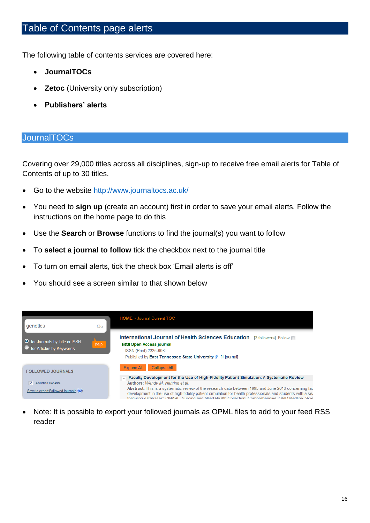# <span id="page-15-0"></span>Table of Contents page alerts

The following table of contents services are covered here:

- **JournalTOCs**
- **Zetoc** (University only subscription)
- **Publishers' alerts**

#### <span id="page-15-1"></span>**JournalTOCs**

Covering over 29,000 titles across all disciplines, sign-up to receive free email alerts for Table of Contents of up to 30 titles.

- Go to the website <http://www.journaltocs.ac.uk/>
- You need to **sign up** (create an account) first in order to save your email alerts. Follow the instructions on the home page to do this
- Use the **Search** or **Browse** functions to find the journal(s) you want to follow
- To **select a journal to follow** tick the checkbox next to the journal title
- To turn on email alerts, tick the check box 'Email alerts is off'
- You should see a screen similar to that shown below



 Note: It is possible to export your followed journals as OPML files to add to your feed RSS reader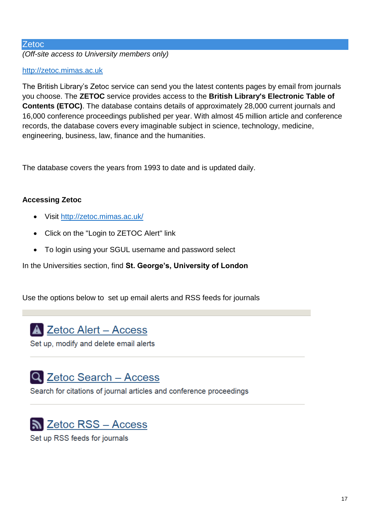#### <span id="page-16-0"></span>**Zetoc**

*(Off-site access to University members only)*

#### [http://zetoc.mimas.ac.uk](http://zetoc.mimas.ac.uk/)

The British Library's Zetoc service can send you the latest contents pages by email from journals you choose. The **ZETOC** service provides access to the **British Library's Electronic Table of Contents (ETOC)**. The database contains details of approximately 28,000 current journals and 16,000 conference proceedings published per year. With almost 45 million article and conference records, the database covers every imaginable subject in science, technology, medicine, engineering, business, law, finance and the humanities.

The database covers the years from 1993 to date and is updated daily.

#### **Accessing Zetoc**

- Visit<http://zetoc.mimas.ac.uk/>
- Click on the "Login to ZETOC Alert" link
- To login using your SGUL username and password select

In the Universities section, find **St. George's, University of London**

Use the options below to set up email alerts and RSS feeds for journals

A Zetoc Alert - Access

Set up, modify and delete email alerts

# Q Zetoc Search - Access

Search for citations of journal articles and conference proceedings

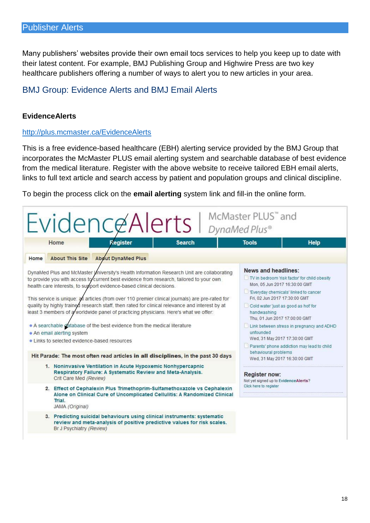<span id="page-17-0"></span>Many publishers' websites provide their own email tocs services to help you keep up to date with their latest content. For example, BMJ Publishing Group and Highwire Press are two key healthcare publishers offering a number of ways to alert you to new articles in your area.

# <span id="page-17-1"></span>BMJ Group: Evidence Alerts and BMJ Email Alerts

#### **EvidenceAlerts**

#### <http://plus.mcmaster.ca/EvidenceAlerts>

This is a free evidence-based healthcare (EBH) alerting service provided by the BMJ Group that incorporates the McMaster PLUS email alerting system and searchable database of best evidence from the medical literature. Register with the above website to receive tailored EBH email alerts, links to full text article and search access by patient and population groups and clinical discipline.

To begin the process click on the **email alerting** system link and fill-in the online form.

| McMaster PLUS" and<br>Evidence Alerts  <br>DynaMed Plus®                                                                                                                                                                                                                                                                                                                                                                                                                                                                                                                                                                                                                                                                                                                                                 |                                                                                                                                                                                                                                                                                                                                                                                                                                                                                                                                                                    |             |  |  |  |  |  |
|----------------------------------------------------------------------------------------------------------------------------------------------------------------------------------------------------------------------------------------------------------------------------------------------------------------------------------------------------------------------------------------------------------------------------------------------------------------------------------------------------------------------------------------------------------------------------------------------------------------------------------------------------------------------------------------------------------------------------------------------------------------------------------------------------------|--------------------------------------------------------------------------------------------------------------------------------------------------------------------------------------------------------------------------------------------------------------------------------------------------------------------------------------------------------------------------------------------------------------------------------------------------------------------------------------------------------------------------------------------------------------------|-------------|--|--|--|--|--|
| Register<br><b>Search</b><br>Home                                                                                                                                                                                                                                                                                                                                                                                                                                                                                                                                                                                                                                                                                                                                                                        | <b>Tools</b>                                                                                                                                                                                                                                                                                                                                                                                                                                                                                                                                                       | <b>Help</b> |  |  |  |  |  |
| About This Site About DynaMed Plus<br>Home                                                                                                                                                                                                                                                                                                                                                                                                                                                                                                                                                                                                                                                                                                                                                               |                                                                                                                                                                                                                                                                                                                                                                                                                                                                                                                                                                    |             |  |  |  |  |  |
| DynaMed Plus and McMaster University's Health Information Research Unit are collaborating<br>to provide you with access to current best evidence from research, tailored to your own<br>health care interests, to support evidence-based clinical decisions.<br>This service is unique: all articles (from over 110 premier clinical journals) are pre-rated for<br>quality by highly trained research staff, then rated for clinical relevance and interest by at<br>least 3 members of a worldwide panel of practicing physicians. Here's what we offer:<br>• A searchable database of the best evidence from the medical literature<br>• An email alerting system<br>• Links to selected evidence-based resources<br>Hit Parade: The most often read articles in all disciplines, in the past 30 days | News and headlines:<br>TV in bedroom 'risk factor' for child obesity<br>Mon. 05 Jun 2017 16:30:00 GMT<br>Everyday chemicals' linked to cancer<br>Fri, 02 Jun 2017 17:30:00 GMT<br>Cold water 'just as good as hot' for<br>handwashing<br>Thu, 01 Jun 2017 17:00:00 GMT<br>Link between stress in pregnancy and ADHD<br>unfounded<br>Wed, 31 May 2017 17:30:00 GMT<br>Parents' phone addiction may lead to child<br>behavioural problems<br>Wed, 31 May 2017 16:30:00 GMT<br><b>Register now:</b><br>Not yet signed up to EvidenceAlerts?<br>Click here to register |             |  |  |  |  |  |
| 1. Noninvasive Ventilation in Acute Hypoxemic Nonhypercapnic<br>Respiratory Failure: A Systematic Review and Meta-Analysis.<br>Crit Care Med (Review)                                                                                                                                                                                                                                                                                                                                                                                                                                                                                                                                                                                                                                                    |                                                                                                                                                                                                                                                                                                                                                                                                                                                                                                                                                                    |             |  |  |  |  |  |
| 2. Effect of Cephalexin Plus Trimethoprim-Sulfamethoxazole vs Cephalexin<br>Alone on Clinical Cure of Uncomplicated Cellulitis: A Randomized Clinical<br>Trial.<br>JAMA (Original)                                                                                                                                                                                                                                                                                                                                                                                                                                                                                                                                                                                                                       |                                                                                                                                                                                                                                                                                                                                                                                                                                                                                                                                                                    |             |  |  |  |  |  |
| 3. Predicting suicidal behaviours using clinical instruments: systematic<br>review and meta-analysis of positive predictive values for risk scales.<br>Br J Psychiatry (Review)                                                                                                                                                                                                                                                                                                                                                                                                                                                                                                                                                                                                                          |                                                                                                                                                                                                                                                                                                                                                                                                                                                                                                                                                                    |             |  |  |  |  |  |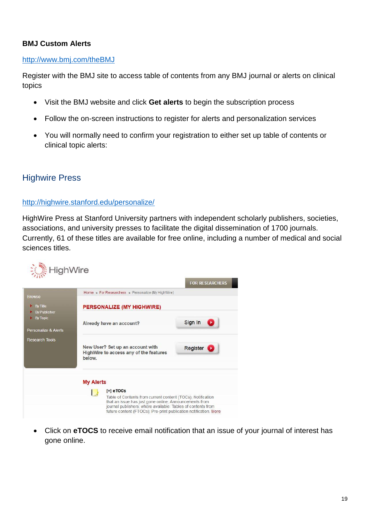#### **BMJ Custom Alerts**

#### <http://www.bmj.com/theBMJ>

Register with the BMJ site to access table of contents from any BMJ journal or alerts on clinical topics

- Visit the BMJ website and click **Get alerts** to begin the subscription process
- Follow the on-screen instructions to register for alerts and personalization services
- You will normally need to confirm your registration to either set up table of contents or clinical topic alerts:

#### <span id="page-18-0"></span>Highwire Press

#### <http://highwire.stanford.edu/personalize/>

HighWire Press at Stanford University partners with independent scholarly publishers, societies, associations, and university presses to facilitate the digital dissemination of 1700 journals. Currently, 61 of these titles are available for free online, including a number of medical and social sciences titles.



 Click on **eTOCS** to receive email notification that an issue of your journal of interest has gone online.